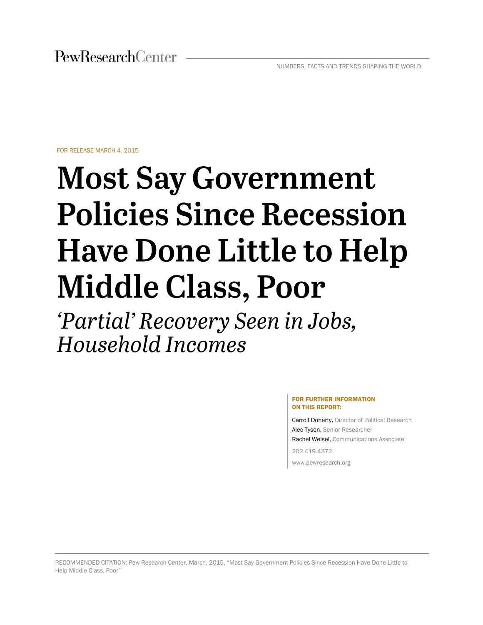FOR RELEASE MARCH 4, 2015

# **Most Say Government Policies Since Recession Have Done Little to Help Middle Class, Poor**

'Partial' Recovery Seen in Jobs, **Household Incomes** 

#### FOR FURTHER INFORMATION ON THIS REPORT:

Carroll Doherty, Director of Political Research Alec Tyson, Senior Researcher Rachel Weisel, Communications Associate 202.419.4372

www.pewresearch.org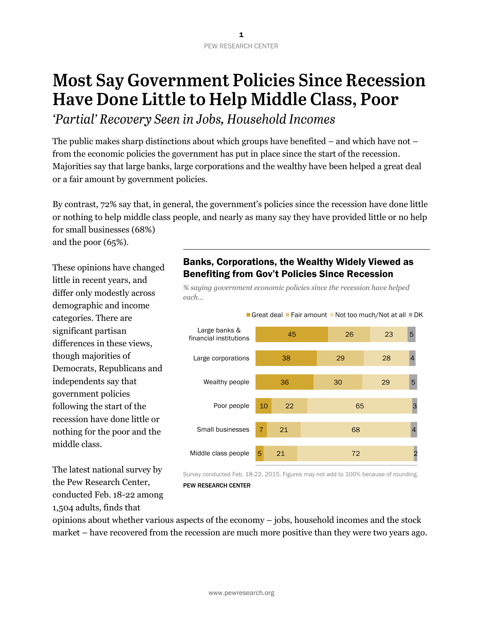# **Most Say Government Policies Since Recession** Have Done Little to Help Middle Class, Poor

'Partial' Recovery Seen in Jobs, Household Incomes

The public makes sharp distinctions about which groups have benefited – and which have not – from the economic policies the government has put in place since the start of the recession. Majorities say that large banks, large corporations and the wealthy have been helped a great deal or a fair amount by government policies.

By contrast, 72% say that, in general, the government's policies since the recession have done little or nothing to help middle class people, and nearly as many say they have provided little or no help for small businesses (68%)

and the poor (65%).

These opinions have changed little in recent years, and differ only modestly across demographic and income categories. There are significant partisan differences in these views, though majorities of Democrats, Republicans and independents say that government policies following the start of the recession have done little or nothing for the poor and the middle class.

The latest national survey by the Pew Research Center, conducted Feb. 18-22 among 1,504 adults, finds that

# Banks, Corporations, the Wealthy Widely Viewed as Benefiting from Gov't Policies Since Recession

*% saying government economic policies since the recession have helped each…* 



PEW RESEARCH CENTER

opinions about whether various aspects of the economy – jobs, household incomes and the stock market – have recovered from the recession are much more positive than they were two years ago.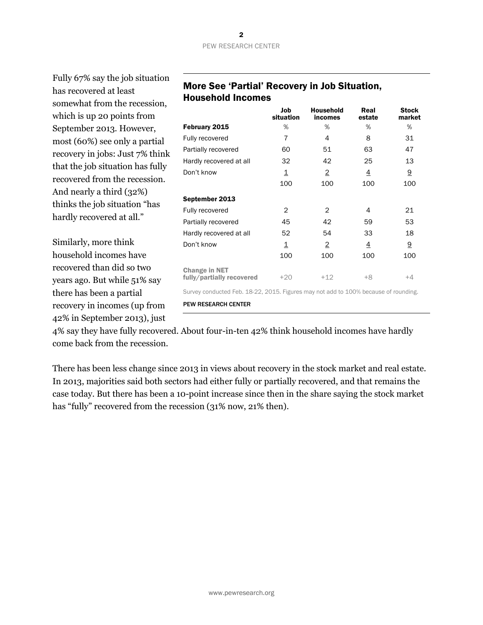| Fully 67% say the job situation  |                                                                                     |                         |                             |                |                        |
|----------------------------------|-------------------------------------------------------------------------------------|-------------------------|-----------------------------|----------------|------------------------|
| has recovered at least           | More See 'Partial' Recovery in Job Situation,                                       |                         |                             |                |                        |
| somewhat from the recession,     | <b>Household Incomes</b>                                                            |                         |                             |                |                        |
| which is up 20 points from       |                                                                                     | Job<br>situation        | <b>Household</b><br>incomes | Real<br>estate | <b>Stock</b><br>market |
| September 2013. However,         | February 2015                                                                       | %                       | %                           | %              | %                      |
| most (60%) see only a partial    | Fully recovered                                                                     | 7                       | 4                           | 8              | 31                     |
| recovery in jobs: Just 7% think  | Partially recovered                                                                 | 60                      | 51                          | 63             | 47                     |
| that the job situation has fully | Hardly recovered at all                                                             | 32                      | 42                          | 25             | 13                     |
|                                  | Don't know                                                                          | $\overline{\mathbf{1}}$ | $\overline{2}$              | $\overline{4}$ | $\underline{9}$        |
| recovered from the recession.    |                                                                                     | 100                     | 100                         | 100            | 100                    |
| And nearly a third (32%)         | September 2013                                                                      |                         |                             |                |                        |
| thinks the job situation "has    | Fully recovered                                                                     | 2                       | $\overline{2}$              | 4              | 21                     |
| hardly recovered at all."        | Partially recovered                                                                 | 45                      | 42                          | 59             | 53                     |
|                                  | Hardly recovered at all                                                             | 52                      | 54                          | 33             | 18                     |
| Similarly, more think            | Don't know                                                                          | $\overline{\mathbf{1}}$ | $\overline{2}$              | $\overline{4}$ | 9                      |
| household incomes have           |                                                                                     | 100                     | 100                         | 100            | 100                    |
| recovered than did so two        | <b>Change in NET</b>                                                                |                         |                             |                |                        |
| years ago. But while 51% say     | fully/partially recovered                                                           | $+20$                   | $+12$                       | $+8$           | $+4$                   |
| there has been a partial         | Survey conducted Feb. 18-22, 2015. Figures may not add to 100% because of rounding. |                         |                             |                |                        |
| recovery in incomes (up from     | <b>PEW RESEARCH CENTER</b>                                                          |                         |                             |                |                        |
| 42% in September 2013), just     |                                                                                     |                         |                             |                |                        |
|                                  |                                                                                     |                         |                             |                |                        |

4% say they have fully recovered. About four-in-ten 42% think household incomes have hardly come back from the recession.

There has been less change since 2013 in views about recovery in the stock market and real estate. In 2013, majorities said both sectors had either fully or partially recovered, and that remains the case today. But there has been a 10-point increase since then in the share saying the stock market has "fully" recovered from the recession (31% now, 21% then).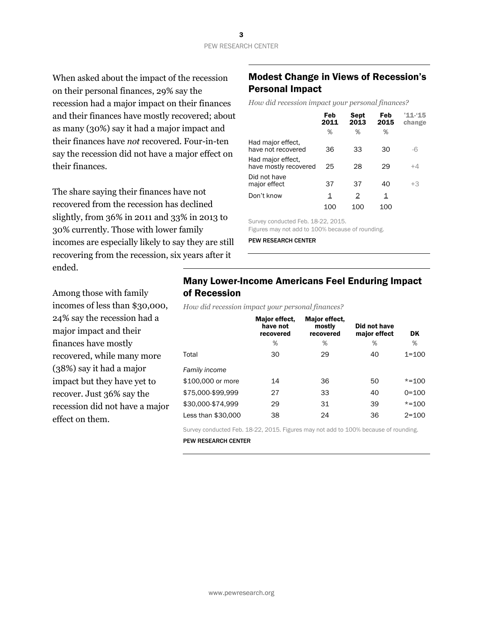When asked about the impact of the recession on their personal finances, 29% say the recession had a major impact on their finances and their finances have mostly recovered; about as many (30%) say it had a major impact and their finances have *not* recovered. Four-in-ten say the recession did not have a major effect on their finances.

The share saying their finances have not recovered from the recession has declined slightly, from 36% in 2011 and 33% in 2013 to 30% currently. Those with lower family incomes are especially likely to say they are still recovering from the recession, six years after it ended.

Among those with family incomes of less than \$30,000, 24% say the recession had a major impact and their finances have mostly recovered, while many more (38%) say it had a major impact but they have yet to recover. Just 36% say the recession did not have a major effect on them.

### Modest Change in Views of Recession's Personal Impact

*How did recession impact your personal finances?*

|                                            | Feb<br>2011 | <b>Sept</b><br>2013 | Feb<br>2015 | $'11 - 15$<br>change |
|--------------------------------------------|-------------|---------------------|-------------|----------------------|
|                                            | %           | %                   | %           |                      |
| Had major effect.<br>have not recovered    | 36          | 33                  | 30          | -6                   |
| Had major effect.<br>have mostly recovered | 25          | 28                  | 29          | $+4$                 |
| Did not have<br>major effect               | 37          | 37                  | 40          | $+3$                 |
| Don't know                                 | 1           | 2                   | 1           |                      |
|                                            | 100         | 100                 | 100         |                      |

Survey conducted Feb. 18-22, 2015.

Figures may not add to 100% because of rounding.

PEW RESEARCH CENTER

### Many Lower-Income Americans Feel Enduring Impact of Recession

*How did recession impact your personal finances?*

|                    | Major effect.<br>have not<br>recovered | Major effect,<br>mostly<br>recovered | Did not have<br>major effect | DK        |
|--------------------|----------------------------------------|--------------------------------------|------------------------------|-----------|
|                    | %                                      | %                                    | %                            | %         |
| Total              | 30                                     | 29                                   | 40                           | $1 = 100$ |
| Family income      |                                        |                                      |                              |           |
| \$100,000 or more  | 14                                     | 36                                   | 50                           | $* = 100$ |
| \$75,000-\$99.999  | 27                                     | 33                                   | 40                           | $0 = 100$ |
| \$30,000-\$74.999  | 29                                     | 31                                   | 39                           | $* = 100$ |
| Less than \$30,000 | 38                                     | 24                                   | 36                           | $2 = 100$ |

Survey conducted Feb. 18-22, 2015. Figures may not add to 100% because of rounding.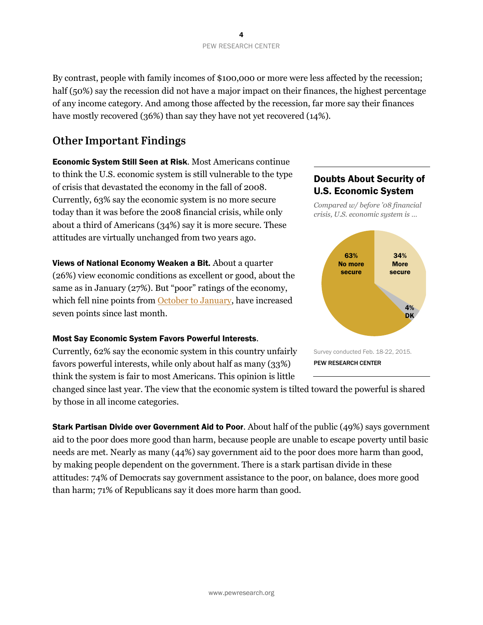By contrast, people with family incomes of \$100,000 or more were less affected by the recession; half (50%) say the recession did not have a major impact on their finances, the highest percentage of any income category. And among those affected by the recession, far more say their finances have mostly recovered (36%) than say they have not yet recovered (14%).

# **Other Important Findings**

Economic System Still Seen at Risk. Most Americans continue to think the U.S. economic system is still vulnerable to the type of crisis that devastated the economy in the fall of 2008. Currently, 63% say the economic system is no more secure today than it was before the 2008 financial crisis, while only about a third of Americans (34%) say it is more secure. These attitudes are virtually unchanged from two years ago.

Views of National Economy Weaken a Bit. About a quarter (26%) view economic conditions as excellent or good, about the same as in January (27%). But "poor" ratings of the economy, which fell nine points from [October to January,](http://www.people-press.org/2015/01/14/section-2-views-of-the-nations-economy/) have increased seven points since last month.

### Most Say Economic System Favors Powerful Interests.

Currently, 62% say the economic system in this country unfairly favors powerful interests, while only about half as many (33%) think the system is fair to most Americans. This opinion is little

changed since last year. The view that the economic system is tilted toward the powerful is shared by those in all income categories.

**Stark Partisan Divide over Government Aid to Poor.** About half of the public (49%) says government aid to the poor does more good than harm, because people are unable to escape poverty until basic needs are met. Nearly as many (44%) say government aid to the poor does more harm than good, by making people dependent on the government. There is a stark partisan divide in these attitudes: 74% of Democrats say government assistance to the poor, on balance, does more good than harm; 71% of Republicans say it does more harm than good.

# Doubts About Security of U.S. Economic System

*Compared w/ before '08 financial crisis, U.S. economic system is …*

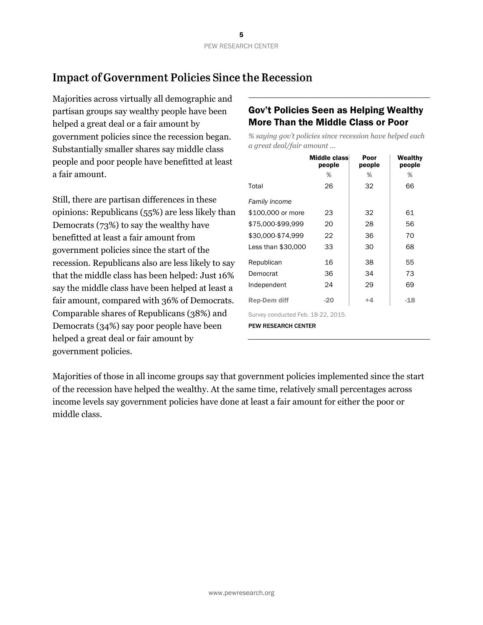# **Impact of Government Policies Since the Recession**

Majorities across virtually all demographic and partisan groups say wealthy people have been helped a great deal or a fair amount by government policies since the recession began. Substantially smaller shares say middle class people and poor people have benefitted at least a fair amount.

Still, there are partisan differences in these opinions: Republicans (55%) are less likely than Democrats (73%) to say the wealthy have benefitted at least a fair amount from government policies since the start of the recession. Republicans also are less likely to say that the middle class has been helped: Just 16% say the middle class have been helped at least a fair amount, compared with 36% of Democrats. Comparable shares of Republicans (38%) and Democrats (34%) say poor people have been helped a great deal or fair amount by government policies.

## Gov't Policies Seen as Helping Wealthy More Than the Middle Class or Poor

*% saying gov't policies since recession have helped each a great deal/fair amount …*

|                                    | Middle class<br>people | Poor<br>people | Wealthy<br>people |  |  |  |  |  |
|------------------------------------|------------------------|----------------|-------------------|--|--|--|--|--|
|                                    | %                      | %              | %                 |  |  |  |  |  |
| Total                              | 26                     | 32             | 66                |  |  |  |  |  |
| <b>Family income</b>               |                        |                |                   |  |  |  |  |  |
| \$100,000 or more                  | 23                     | 32             | 61                |  |  |  |  |  |
| \$75,000-\$99,999                  | 20                     | 28             | 56                |  |  |  |  |  |
| \$30,000-\$74,999                  | 22                     | 36             | 70                |  |  |  |  |  |
| Less than \$30,000                 | 33                     | 30             | 68                |  |  |  |  |  |
| Republican                         | 16                     | 38             | 55                |  |  |  |  |  |
| Democrat                           | 36                     | 34             | 73                |  |  |  |  |  |
| Independent                        | 24                     | 29             | 69                |  |  |  |  |  |
| <b>Rep-Dem diff</b>                | $-20$                  | $+4$           | $-18$             |  |  |  |  |  |
| Survey conducted Feb. 18-22, 2015. |                        |                |                   |  |  |  |  |  |
| <b>PEW RESEARCH CENTER</b>         |                        |                |                   |  |  |  |  |  |

Majorities of those in all income groups say that government policies implemented since the start of the recession have helped the wealthy. At the same time, relatively small percentages across income levels say government policies have done at least a fair amount for either the poor or middle class.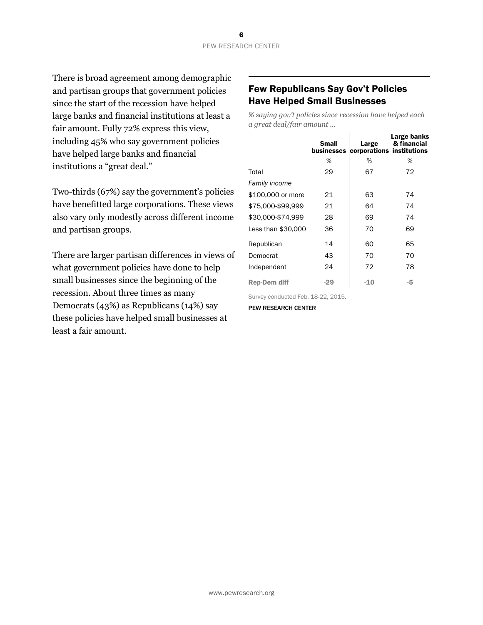There is broad agreement among demographic and partisan groups that government policies since the start of the recession have helped large banks and financial institutions at least a fair amount. Fully 72% express this view, including 45% who say government policies have helped large banks and financial institutions a "great deal."

Two-thirds (67%) say the government's policies have benefitted large corporations. These views also vary only modestly across different income and partisan groups.

There are larger partisan differences in views of what government policies have done to help small businesses since the beginning of the recession. About three times as many Democrats (43%) as Republicans (14%) say these policies have helped small businesses at least a fair amount.

### Few Republicans Say Gov't Policies Have Helped Small Businesses

*% saying gov't policies since recession have helped each a great deal/fair amount …*

|                     | <b>Small</b><br><b>businesses</b> | Large<br>corporations institutions | Large banks<br>& financial |
|---------------------|-----------------------------------|------------------------------------|----------------------------|
|                     | ℅                                 | %                                  | %                          |
| Total               | 29                                | 67                                 | 72                         |
| Family income       |                                   |                                    |                            |
| \$100,000 or more   | 21                                | 63                                 | 74                         |
| \$75,000-\$99.999   | 21                                | 64                                 | 74                         |
| \$30,000-\$74.999   | 28                                | 69                                 | 74                         |
| Less than \$30,000  | 36                                | 70                                 | 69                         |
| Republican          | 14                                | 60                                 | 65                         |
| Democrat            | 43                                | 70                                 | 70                         |
| Independent         | 24                                | 72                                 | 78                         |
| <b>Rep-Dem diff</b> | $-29$                             | $-1.0$                             | -5                         |

Survey conducted Feb. 18-22, 2015.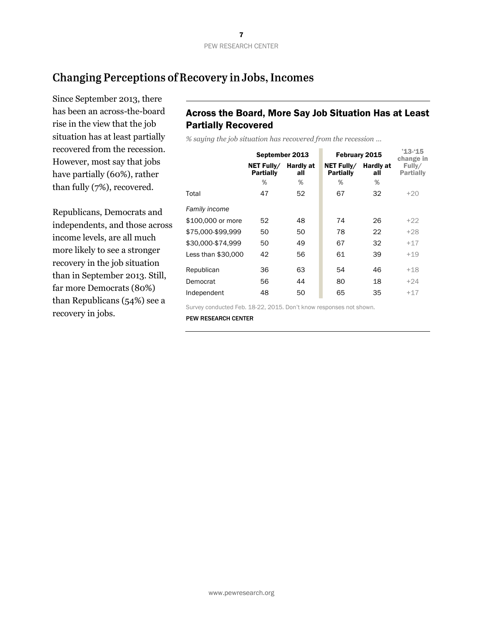# Changing Perceptions of Recovery in Jobs, Incomes

Since September 2013, there has been an across-the-board rise in the view that the job situation has at least partially recovered from the recession. However, most say that jobs have partially (60%), rather than fully (7%), recovered.

Republicans, Democrats and independents, and those across income levels, are all much more likely to see a stronger recovery in the job situation than in September 2013. Still, far more Democrats (80%) than Republicans (54%) see a recovery in jobs.

# Across the Board, More Say Job Situation Has at Least Partially Recovered

*% saying the job situation has recovered from the recession …*

|                    | September 2013                 |                         | February 2015                  | $'13 - 15$<br>change in |                            |
|--------------------|--------------------------------|-------------------------|--------------------------------|-------------------------|----------------------------|
|                    | NET Fully/<br><b>Partially</b> | <b>Hardly at</b><br>all | NET Fully/<br><b>Partially</b> | <b>Hardly at</b><br>all | Fully/<br><b>Partially</b> |
|                    | %                              | %                       | %                              | %                       |                            |
| Total              | 47                             | 52                      | 67                             | 32                      | $+20$                      |
| Family income      |                                |                         |                                |                         |                            |
| \$100,000 or more  | 52                             | 48                      | 74                             | 26                      | $+22$                      |
| \$75,000-\$99.999  | 50                             | 50                      | 78                             | 22                      | $+28$                      |
| \$30,000-\$74.999  | 50                             | 49                      | 67                             | 32                      | $+17$                      |
| Less than \$30,000 | 42                             | 56                      | 61                             | 39                      | $+19$                      |
| Republican         | 36                             | 63                      | 54                             | 46                      | $+18$                      |
| Democrat           | 56                             | 44                      | 80                             | 18                      | $+24$                      |
| Independent        | 48                             | 50                      | 65                             | 35                      | $+17$                      |
|                    |                                |                         |                                |                         |                            |

Survey conducted Feb. 18-22, 2015. Don't know responses not shown.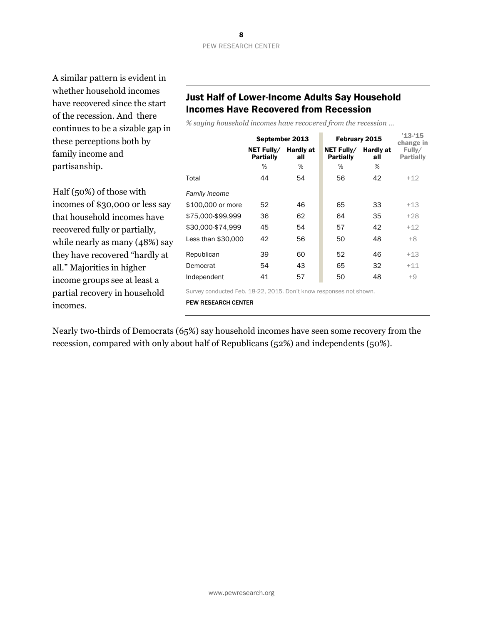A similar pattern is evident in whether household incomes have recovered since the start of the recession. And there continues to be a sizable gap in these perceptions both by family income and partisanship.

Half (50%) of those with incomes of \$30,000 or less say that household incomes have recovered fully or partially, while nearly as many (48%) say they have recovered "hardly at all." Majorities in higher income groups see at least a partial recovery in household incomes.

# Just Half of Lower-Income Adults Say Household Incomes Have Recovered from Recession

*% saying household incomes have recovered from the recession …*

|                    | September 2013                 |                         |                                | February 2015           | $'13 - 15$<br>change in    |
|--------------------|--------------------------------|-------------------------|--------------------------------|-------------------------|----------------------------|
|                    | NET Fully/<br><b>Partially</b> | <b>Hardly at</b><br>all | NET Fully/<br><b>Partially</b> | <b>Hardly at</b><br>all | Fully/<br><b>Partially</b> |
|                    | %                              | %                       | %                              | %                       |                            |
| Total              | 44                             | 54                      | 56                             | 42                      | $+12$                      |
| Family income      |                                |                         |                                |                         |                            |
| \$100,000 or more  | 52                             | 46                      | 65                             | 33                      | $+13$                      |
| \$75,000-\$99,999  | 36                             | 62                      | 64                             | 35                      | $+28$                      |
| \$30,000-\$74.999  | 45                             | 54                      | 57                             | 42                      | $+12$                      |
| Less than \$30,000 | 42                             | 56                      | 50                             | 48                      | $+8$                       |
| Republican         | 39                             | 60                      | 52                             | 46                      | $+13$                      |
| Democrat           | 54                             | 43                      | 65                             | 32                      | $+11$                      |
| Independent        | 41                             | 57                      | 50                             | 48                      | $+9$                       |
|                    |                                |                         |                                |                         |                            |

Survey conducted Feb. 18-22, 2015. Don't know responses not shown.

PEW RESEARCH CENTER

Nearly two-thirds of Democrats (65%) say household incomes have seen some recovery from the recession, compared with only about half of Republicans (52%) and independents (50%).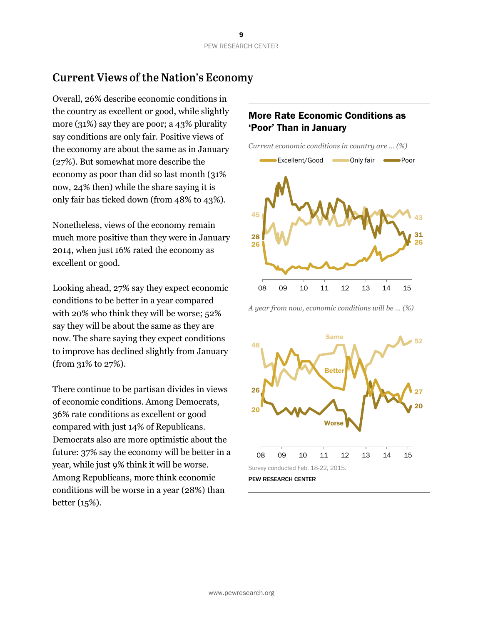# **Current Views of the Nation's Economy**

Overall, 26% describe economic conditions in the country as excellent or good, while slightly more (31%) say they are poor; a 43% plurality say conditions are only fair. Positive views of the economy are about the same as in January (27%). But somewhat more describe the economy as poor than did so last month (31% now, 24% then) while the share saying it is only fair has ticked down (from 48% to 43%).

Nonetheless, views of the economy remain much more positive than they were in January 2014, when just 16% rated the economy as excellent or good.

Looking ahead, 27% say they expect economic conditions to be better in a year compared with 20% who think they will be worse; 52% say they will be about the same as they are now. The share saying they expect conditions to improve has declined slightly from January (from 31% to 27%).

There continue to be partisan divides in views of economic conditions. Among Democrats, 36% rate conditions as excellent or good compared with just 14% of Republicans. Democrats also are more optimistic about the future: 37% say the economy will be better in a year, while just 9% think it will be worse. Among Republicans, more think economic conditions will be worse in a year (28%) than better (15%).

# More Rate Economic Conditions as 'Poor' Than in January



*A year from now, economic conditions will be … (%)*

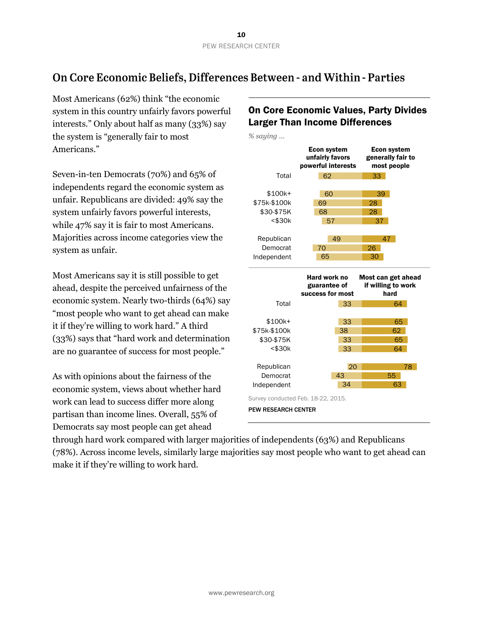# On Core Economic Beliefs, Differences Between - and Within - Parties

Most Americans (62%) think "the economic system in this country unfairly favors powerful interests." Only about half as many (33%) say the system is "generally fair to most Americans."

Seven-in-ten Democrats (70%) and 65% of independents regard the economic system as unfair. Republicans are divided: 49% say the system unfairly favors powerful interests, while 47% say it is fair to most Americans. Majorities across income categories view the system as unfair.

Most Americans say it is still possible to get ahead, despite the perceived unfairness of the economic system. Nearly two-thirds (64%) say "most people who want to get ahead can make it if they're willing to work hard." A third (33%) says that "hard work and determination are no guarantee of success for most people."

As with opinions about the fairness of the economic system, views about whether hard work can lead to success differ more along partisan than income lines. Overall, 55% of Democrats say most people can get ahead

# On Core Economic Values, Party Divides Larger Than Income Differences

*% saying …*



through hard work compared with larger majorities of independents (63%) and Republicans (78%). Across income levels, similarly large majorities say most people who want to get ahead can make it if they're willing to work hard.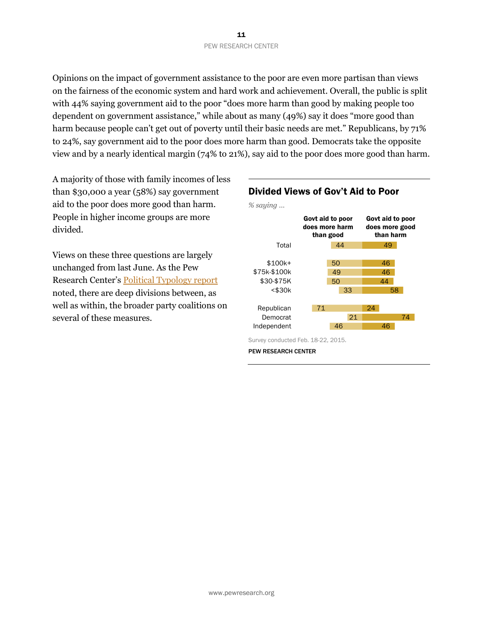#### 11 PEW RESEARCH CENTER

Opinions on the impact of government assistance to the poor are even more partisan than views on the fairness of the economic system and hard work and achievement. Overall, the public is split with 44% saying government aid to the poor "does more harm than good by making people too dependent on government assistance," while about as many (49%) say it does "more good than harm because people can't get out of poverty until their basic needs are met." Republicans, by 71% to 24%, say government aid to the poor does more harm than good. Democrats take the opposite view and by a nearly identical margin (74% to 21%), say aid to the poor does more good than harm.

A majority of those with family incomes of less than \$30,000 a year (58%) say government aid to the poor does more good than harm. People in higher income groups are more divided.

Views on these three questions are largely unchanged from last June. As the Pew Research Center's [Political Typology report](http://www.people-press.org/2014/06/26/the-political-typology-beyond-red-vs-blue/) noted, there are deep divisions between, as well as within, the broader party coalitions on several of these measures.



### Divided Views of Gov't Aid to Poor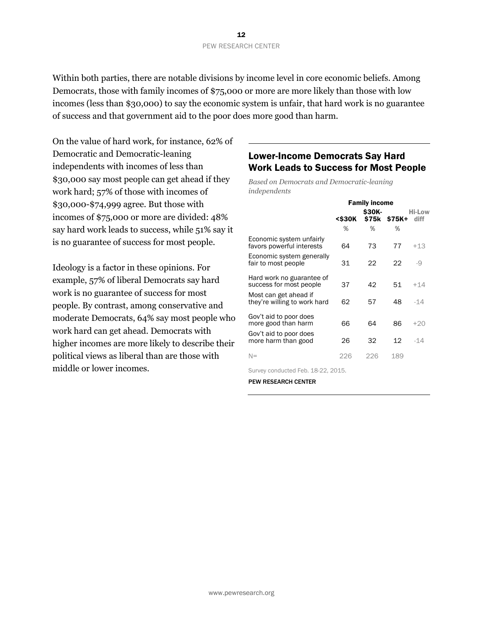Within both parties, there are notable divisions by income level in core economic beliefs. Among Democrats, those with family incomes of \$75,000 or more are more likely than those with low incomes (less than \$30,000) to say the economic system is unfair, that hard work is no guarantee of success and that government aid to the poor does more good than harm.

On the value of hard work, for instance, 62% of Democratic and Democratic-leaning independents with incomes of less than \$30,000 say most people can get ahead if they work hard; 57% of those with incomes of \$30,000-\$74,999 agree. But those with incomes of \$75,000 or more are divided: 48% say hard work leads to success, while 51% say it is no guarantee of success for most people.

Ideology is a factor in these opinions. For example, 57% of liberal Democrats say hard work is no guarantee of success for most people. By contrast, among conservative and moderate Democrats, 64% say most people who work hard can get ahead. Democrats with higher incomes are more likely to describe their political views as liberal than are those with middle or lower incomes.

# Lower-Income Democrats Say Hard Work Leads to Success for Most People

*Based on Democrats and Democratic-leaning independents*

|                                                       | <b>Family income</b>                                                                     |        |              |                       |
|-------------------------------------------------------|------------------------------------------------------------------------------------------|--------|--------------|-----------------------|
|                                                       | <s30k< th=""><th>\$30K-</th><th>\$75k \$75K+</th><th><b>Hi-Low</b><br/>diff</th></s30k<> | \$30K- | \$75k \$75K+ | <b>Hi-Low</b><br>diff |
|                                                       | %                                                                                        | %      | %            |                       |
| Economic system unfairly<br>favors powerful interests | 64                                                                                       | 73     | 77           | $+13$                 |
| Economic system generally<br>fair to most people      | 31                                                                                       | 22     | 22           | $-9$                  |
| Hard work no guarantee of<br>success for most people  | 37                                                                                       | 42     | 51           | $+14$                 |
| Most can get ahead if<br>they're willing to work hard | 62                                                                                       | 57     | 48           | -14                   |
| Gov't aid to poor does<br>more good than harm         | 66                                                                                       | 64     | 86           | $+20$                 |
| Gov't aid to poor does<br>more harm than good         | 26                                                                                       | 32     | 12           | -14                   |
| $N=$                                                  | 226                                                                                      | 226    | 189          |                       |

Survey conducted Feb. 18-22, 2015.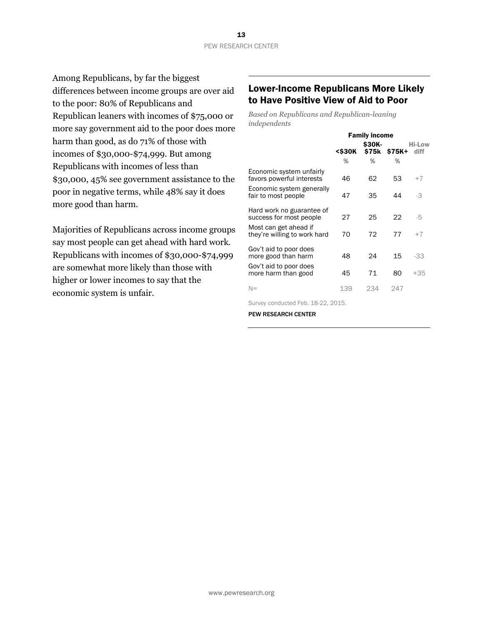Among Republicans, by far the biggest differences between income groups are over aid to the poor: 80% of Republicans and Republican leaners with incomes of \$75,000 or more say government aid to the poor does more harm than good, as do 71% of those with incomes of \$30,000-\$74,999. But among Republicans with incomes of less than \$30,000, 45% see government assistance to the poor in negative terms, while 48% say it does more good than harm.

Majorities of Republicans across income groups say most people can get ahead with hard work. Republicans with incomes of \$30,000-\$74,999 are somewhat more likely than those with higher or lower incomes to say that the economic system is unfair.

### Lower-Income Republicans More Likely to Have Positive View of Aid to Poor

*Based on Republicans and Republican-leaning independents*

|                                                       | <b>Family income</b>                                                                    |              |              |                |  |
|-------------------------------------------------------|-----------------------------------------------------------------------------------------|--------------|--------------|----------------|--|
|                                                       | <s30k< th=""><th><b>S30K-</b></th><th>\$75k \$75K+</th><th>Hi-Low<br/>diff</th></s30k<> | <b>S30K-</b> | \$75k \$75K+ | Hi-Low<br>diff |  |
|                                                       | ℅                                                                                       | %            | %            |                |  |
| Economic system unfairly<br>favors powerful interests | 46                                                                                      | 62           | 53           | $+7$           |  |
| Economic system generally<br>fair to most people      | 47                                                                                      | 35           | 44           | $-3$           |  |
| Hard work no guarantee of<br>success for most people  | 27                                                                                      | 25           | 22           | -5             |  |
| Most can get ahead if<br>they're willing to work hard | 70                                                                                      | 72           | 77           | $+7$           |  |
| Gov't aid to poor does<br>more good than harm         | 48                                                                                      | 24           | 15           | -33            |  |
| Gov't aid to poor does<br>more harm than good         | 45                                                                                      | 71           | 80           | +35            |  |
| $N =$                                                 | 139                                                                                     | 234          | 247          |                |  |

Survey conducted Feb. 18-22, 2015.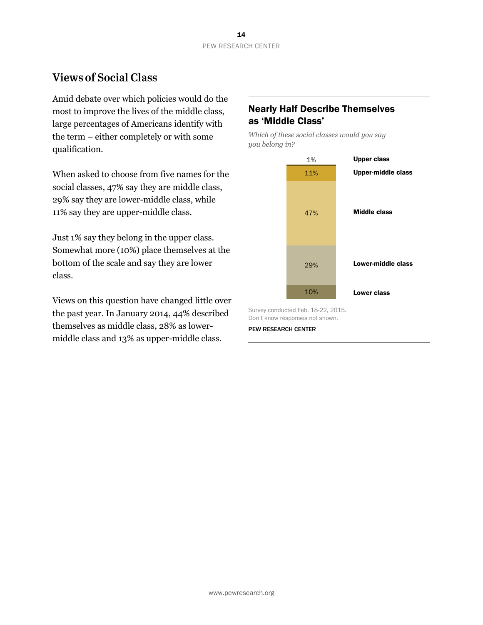# **Views of Social Class**

Amid debate over which policies would do the most to improve the lives of the middle class, large percentages of Americans identify with the term – either completely or with some qualification.

When asked to choose from five names for the social classes, 47% say they are middle class, 29% say they are lower-middle class, while 11% say they are upper-middle class.

Just 1% say they belong in the upper class. Somewhat more (10%) place themselves at the bottom of the scale and say they are lower class.

Views on this question have changed little over the past year. In January 2014, 44% described themselves as middle class, 28% as lowermiddle class and 13% as upper-middle class.

# Nearly Half Describe Themselves as 'Middle Class'

*Which of these social classes would you say you belong in?*



Survey conducted Feb. 18-22, 2015. Don't know responses not shown.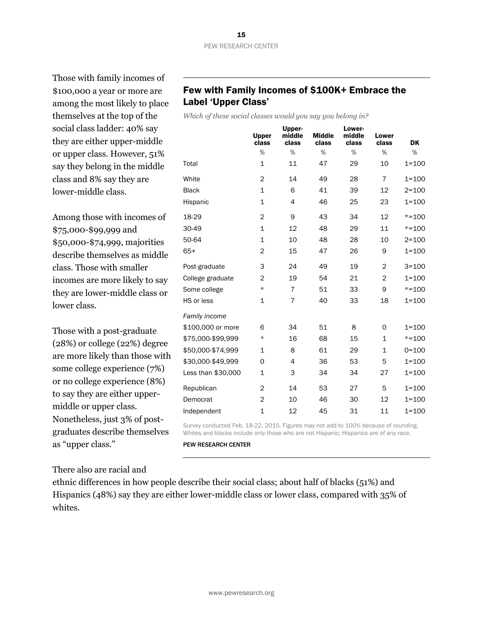Those with family incomes of \$100,000 a year or more are among the most likely to place themselves at the top of the social class ladder: 40% say they are either upper-middle or upper class. However, 51% say they belong in the middle class and 8% say they are lower-middle class.

Among those with incomes of \$75,000-\$99,999 and \$50,000-\$74,999, majorities describe themselves as middle class. Those with smaller incomes are more likely to say they are lower-middle class or lower class.

Those with a post-graduate (28%) or college (22%) degree are more likely than those with some college experience (7%) or no college experience (8%) to say they are either uppermiddle or upper class. Nonetheless, just 3% of postgraduates describe themselves as "upper class."

# Few with Family Incomes of \$100K+ Embrace the Label 'Upper Class'

*Which of these social classes would you say you belong in?*

|                    | <b>Upper</b><br>class | Upper-<br>middle<br>class | <b>Middle</b><br>class | Lower-<br>middle<br>class | Lower<br>class | <b>DK</b> |
|--------------------|-----------------------|---------------------------|------------------------|---------------------------|----------------|-----------|
|                    | %                     | %                         | %                      | %                         | %              | %         |
| Total              | $\mathbf{1}$          | 11                        | 47                     | 29                        | 10             | $1 = 100$ |
| White              | 2                     | 14                        | 49                     | 28                        | $\overline{7}$ | $1 = 100$ |
| <b>Black</b>       | $\mathbf{1}$          | 6                         | 41                     | 39                        | 12             | $2 = 100$ |
| Hispanic           | 1                     | 4                         | 46                     | 25                        | 23             | $1 = 100$ |
| 18-29              | $\overline{c}$        | 9                         | 43                     | 34                        | 12             | $* = 100$ |
| 30-49              | $\mathbf{1}$          | 12                        | 48                     | 29                        | 11             | $* = 100$ |
| 50-64              | $\mathbf{1}$          | 10                        | 48                     | 28                        | 10             | $2 = 100$ |
| $65+$              | 2                     | 15                        | 47                     | 26                        | 9              | $1 = 100$ |
| Post-graduate      | 3                     | 24                        | 49                     | 19                        | $\overline{2}$ | $3 = 100$ |
| College graduate   | 2                     | 19                        | 54                     | 21                        | $\overline{2}$ | $1 = 100$ |
| Some college       | $\star$               | $\overline{7}$            | 51                     | 33                        | 9              | $* = 100$ |
| HS or less         | 1                     | 7                         | 40                     | 33                        | 18             | $1 = 100$ |
| Family income      |                       |                           |                        |                           |                |           |
| \$100,000 or more  | 6                     | 34                        | 51                     | 8                         | 0              | $1 = 100$ |
| \$75,000-\$99,999  | $\star$               | 16                        | 68                     | 15                        | $\mathbf{1}$   | $* = 100$ |
| \$50,000-\$74,999  | 1                     | 8                         | 61                     | 29                        | 1              | $0 = 100$ |
| \$30,000-\$49,999  | 0                     | 4                         | 36                     | 53                        | 5              | $1 = 100$ |
| Less than \$30,000 | $\mathbf{1}$          | 3                         | 34                     | 34                        | 27             | $1 = 100$ |
| Republican         | $\overline{2}$        | 14                        | 53                     | 27                        | 5              | $1 = 100$ |
| Democrat           | $\overline{2}$        | 10                        | 46                     | 30                        | 12             | $1 = 100$ |
| Independent        | $\mathbf{1}$          | 12                        | 45                     | 31                        | 11             | $1 = 100$ |

Survey conducted Feb. 18-22, 2015. Figures may not add to 100% because of rounding. Whites and blacks include only those who are not Hispanic; Hispanics are of any race.

PEW RESEARCH CENTER

There also are racial and

ethnic differences in how people describe their social class; about half of blacks (51%) and Hispanics (48%) say they are either lower-middle class or lower class, compared with 35% of whites.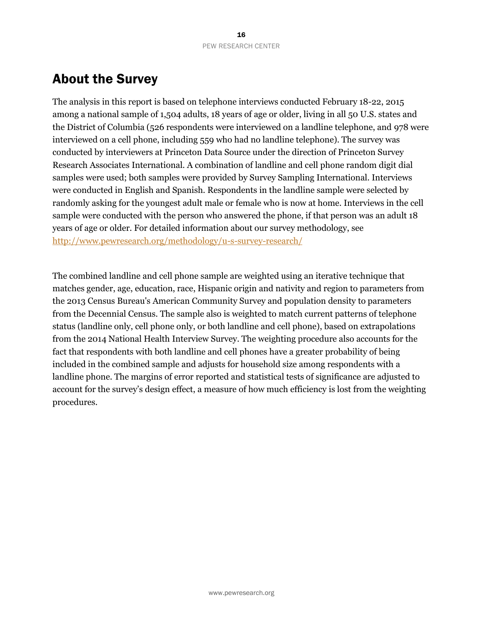# About the Survey

The analysis in this report is based on telephone interviews conducted February 18-22, 2015 among a national sample of 1,504 adults, 18 years of age or older, living in all 50 U.S. states and the District of Columbia (526 respondents were interviewed on a landline telephone, and 978 were interviewed on a cell phone, including 559 who had no landline telephone). The survey was conducted by interviewers at Princeton Data Source under the direction of Princeton Survey Research Associates International. A combination of landline and cell phone random digit dial samples were used; both samples were provided by Survey Sampling International. Interviews were conducted in English and Spanish. Respondents in the landline sample were selected by randomly asking for the youngest adult male or female who is now at home. Interviews in the cell sample were conducted with the person who answered the phone, if that person was an adult 18 years of age or older. For detailed information about our survey methodology, see <http://www.pewresearch.org/methodology/u-s-survey-research/>

The combined landline and cell phone sample are weighted using an iterative technique that matches gender, age, education, race, Hispanic origin and nativity and region to parameters from the 2013 Census Bureau's American Community Survey and population density to parameters from the Decennial Census. The sample also is weighted to match current patterns of telephone status (landline only, cell phone only, or both landline and cell phone), based on extrapolations from the 2014 National Health Interview Survey. The weighting procedure also accounts for the fact that respondents with both landline and cell phones have a greater probability of being included in the combined sample and adjusts for household size among respondents with a landline phone. The margins of error reported and statistical tests of significance are adjusted to account for the survey's design effect, a measure of how much efficiency is lost from the weighting procedures.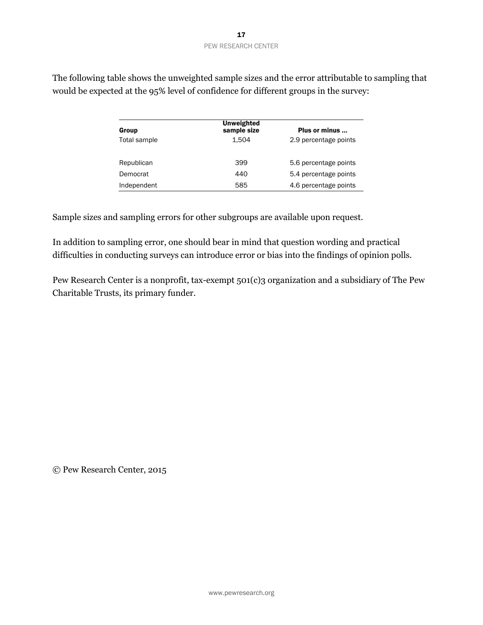| Group        | Unweighted<br>sample size | Plus or minus         |
|--------------|---------------------------|-----------------------|
| Total sample | 1.504                     | 2.9 percentage points |
| Republican   | 399                       | 5.6 percentage points |
| Democrat     | 440                       | 5.4 percentage points |
| Independent  | 585                       | 4.6 percentage points |

The following table shows the unweighted sample sizes and the error attributable to sampling that would be expected at the 95% level of confidence for different groups in the survey:

Sample sizes and sampling errors for other subgroups are available upon request.

In addition to sampling error, one should bear in mind that question wording and practical difficulties in conducting surveys can introduce error or bias into the findings of opinion polls.

Pew Research Center is a nonprofit, tax-exempt 501(c)3 organization and a subsidiary of The Pew Charitable Trusts, its primary funder.

© Pew Research Center, 2015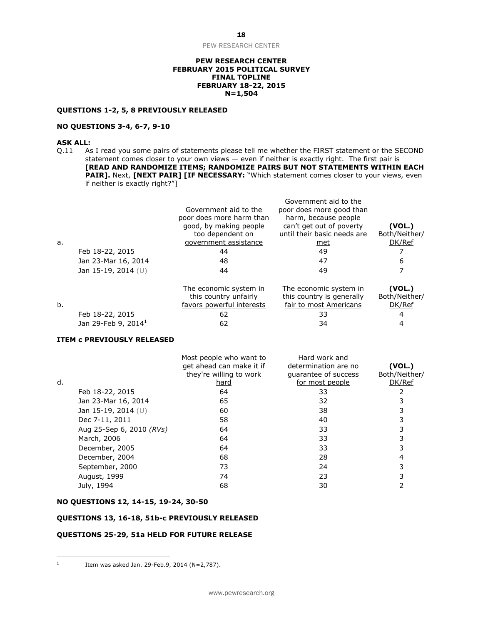PEW RESEARCH CENTER

#### **PEW RESEARCH CENTER FEBRUARY 2015 POLITICAL SURVEY FINAL TOPLINE FEBRUARY 18-22, 2015 N=1,504**

#### **QUESTIONS 1-2, 5, 8 PREVIOUSLY RELEASED**

#### **NO QUESTIONS 3-4, 6-7, 9-10**

#### **ASK ALL:**

Q.11 As I read you some pairs of statements please tell me whether the FIRST statement or the SECOND statement comes closer to your own views — even if neither is exactly right. The first pair is **[READ AND RANDOMIZE ITEMS; RANDOMIZE PAIRS BUT NOT STATEMENTS WITHIN EACH**  PAIR]. Next, [NEXT PAIR] [IF NECESSARY: "Which statement comes closer to your views, even if neither is exactly right?"]

|    |                       | Government aid to the<br>poor does more harm than | Government aid to the<br>poor does more good than<br>harm, because people |                         |
|----|-----------------------|---------------------------------------------------|---------------------------------------------------------------------------|-------------------------|
|    |                       | good, by making people<br>too dependent on        | can't get out of poverty<br>until their basic needs are                   | (VOL.)<br>Both/Neither/ |
| a. |                       | government assistance                             | met                                                                       | DK/Ref                  |
|    | Feb 18-22, 2015       | 44                                                | 49                                                                        |                         |
|    | Jan 23-Mar 16, 2014   | 48                                                | 47                                                                        | 6                       |
|    | Jan 15-19, 2014 $(U)$ | 44                                                | 49                                                                        |                         |
|    |                       | The economic system in<br>this country unfairly   | The economic system in<br>this country is generally                       | (VOL.)<br>Both/Neither/ |

|                           | GHS COUNTS UNIQUITY<br>favors powerful interests | und country is generally<br>fair to most Americans | <b>DULITIVERTIEL</b><br>DK/Ref |
|---------------------------|--------------------------------------------------|----------------------------------------------------|--------------------------------|
| Feb 18-22, 2015           |                                                  |                                                    |                                |
| Jan 29-Feb 9, 2014 $^{1}$ |                                                  | 34                                                 |                                |

#### **ITEM c PREVIOUSLY RELEASED**

|    |                          | Most people who want to<br>get ahead can make it if<br>they're willing to work | Hard work and<br>determination are no<br>guarantee of success | (VOL.)<br>Both/Neither/ |
|----|--------------------------|--------------------------------------------------------------------------------|---------------------------------------------------------------|-------------------------|
| d. |                          | hard                                                                           | for most people                                               | DK/Ref                  |
|    | Feb 18-22, 2015          | 64                                                                             | 33                                                            |                         |
|    | Jan 23-Mar 16, 2014      | 65                                                                             | 32                                                            |                         |
|    | Jan 15-19, 2014 $(U)$    | 60                                                                             | 38                                                            |                         |
|    | Dec 7-11, 2011           | 58                                                                             | 40                                                            |                         |
|    | Aug 25-Sep 6, 2010 (RVs) | 64                                                                             | 33                                                            |                         |
|    | March, 2006              | 64                                                                             | 33                                                            |                         |
|    | December, 2005           | 64                                                                             | 33                                                            |                         |
|    | December, 2004           | 68                                                                             | 28                                                            |                         |
|    | September, 2000          | 73                                                                             | 24                                                            |                         |
|    | August, 1999             | 74                                                                             | 23                                                            |                         |
|    | July, 1994               | 68                                                                             | 30                                                            |                         |

#### **NO QUESTIONS 12, 14-15, 19-24, 30-50**

#### **QUESTIONS 13, 16-18, 51b-c PREVIOUSLY RELEASED**

#### **QUESTIONS 25-29, 51a HELD FOR FUTURE RELEASE**

 $\frac{1}{1}$ 

Item was asked Jan. 29-Feb.9, 2014 (N=2,787).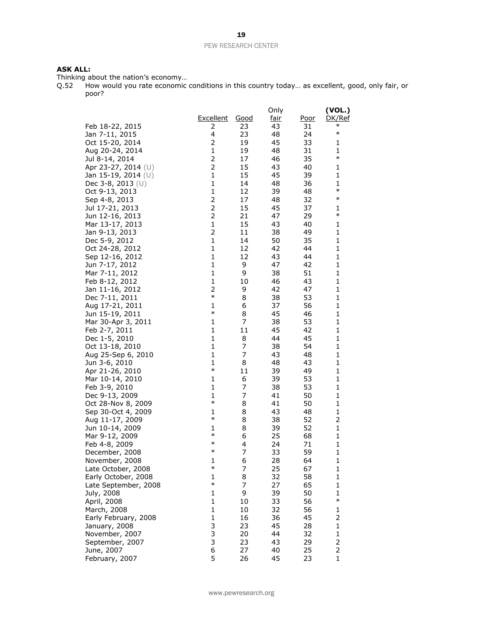### **ASK ALL:**

Thinking about the nation's economy...<br>Q.52 How would you rate economic How would you rate economic conditions in this country today... as excellent, good, only fair, or poor?

|                                   |                |             | Only        |             | (VOL.)        |
|-----------------------------------|----------------|-------------|-------------|-------------|---------------|
|                                   | Excellent      | <u>Good</u> | <u>fair</u> | <u>Poor</u> | <u>DK/Ref</u> |
| Feb 18-22, 2015                   | 2              | 23          | 43          | 31          | $\ast$        |
| Jan 7-11, 2015                    | 4              | 23          | 48          | 24          | $\ast$        |
| Oct 15-20, 2014                   | 2              | 19          | 45          | 33          | 1             |
| Aug 20-24, 2014                   | 1              | 19          | 48          | 31          | 1             |
| Jul 8-14, 2014                    | 2              | 17          | 46          | 35          | $\ast$        |
| Apr 23-27, 2014 (U)               | 2              | 15          | 43          | 40          | 1             |
| Jan 15-19, 2014 $(U)$             | $\mathbf{1}$   | 15          | 45          | 39          | 1             |
| Dec 3-8, 2013 $(U)$               | $\mathbf 1$    | 14          | 48          | 36          | 1             |
| Oct 9-13, 2013                    | 1              | 12          | 39          | 48          | $\ast$        |
| Sep 4-8, 2013                     | 2              | 17          | 48          | 32          | $\ast$        |
| Jul 17-21, 2013                   | $\overline{2}$ | 15          | 45          | 37          | 1             |
| Jun 12-16, 2013                   | $\overline{2}$ | 21          | 47          | 29          | $\ast$        |
| Mar 13-17, 2013                   | 1              | 15          | 43          | 40          | 1             |
| Jan 9-13, 2013                    | 2              | 11          | 38          | 49          | 1             |
| Dec 5-9, 2012                     | 1              | 14          | 50          | 35          | 1             |
| Oct 24-28, 2012                   | 1              | 12          | 42          | 44          | 1             |
| Sep 12-16, 2012                   | 1              | 12          | 43          | 44          | 1             |
| Jun 7-17, 2012                    | 1<br>1         | 9<br>9      | 47<br>38    | 42<br>51    | 1<br>1        |
| Mar 7-11, 2012<br>Feb 8-12, 2012  | 1              | 10          | 46          | 43          | 1             |
| Jan 11-16, 2012                   | 2              | 9           | 42          | 47          | 1             |
| Dec 7-11, 2011                    | $\ast$         | 8           | 38          | 53          | 1             |
| Aug 17-21, 2011                   | 1              | 6           | 37          | 56          | 1             |
| Jun 15-19, 2011                   | $\ast$         | 8           | 45          | 46          | 1             |
| Mar 30-Apr 3, 2011                | 1              | 7           | 38          | 53          | 1             |
| Feb 2-7, 2011                     | 1              | 11          | 45          | 42          | 1             |
| Dec 1-5, 2010                     | 1              | 8           | 44          | 45          | 1             |
| Oct 13-18, 2010                   | 1              | 7           | 38          | 54          | 1             |
| Aug 25-Sep 6, 2010                | 1              | 7           | 43          | 48          | 1             |
| Jun 3-6, 2010                     | 1              | 8           | 48          | 43          | 1             |
| Apr 21-26, 2010                   | $\ast$         | 11          | 39          | 49          | 1             |
| Mar 10-14, 2010                   | 1              | 6           | 39          | 53          | 1             |
| Feb 3-9, 2010                     | 1              | 7           | 38          | 53          | 1             |
| Dec 9-13, 2009                    | 1<br>$\ast$    | 7           | 41          | 50          | 1             |
| Oct 28-Nov 8, 2009                |                | 8           | 41          | 50          | 1             |
| Sep 30-Oct 4, 2009                | 1<br>$\ast$    | 8           | 43          | 48          | 1             |
| Aug 11-17, 2009                   | 1              | 8<br>8      | 38<br>39    | 52<br>52    | 2<br>1        |
| Jun 10-14, 2009<br>Mar 9-12, 2009 | $\ast$         | 6           | 25          | 68          | 1             |
| Feb 4-8, 2009                     | $\ast$         | 4           | 24          | 71          | 1             |
| December, 2008                    | $\ast$         | 7           | 33          | 59          | 1             |
| November, 2008                    | 1              | 6           | 28          | 64          | 1             |
| Late October, 2008                | $\ast$         | 7           | 25          | 67          | 1             |
| Early October, 2008               | 1              | 8           | 32          | 58          | 1             |
| Late September, 2008              | $\ast$         | 7           | 27          | 65          | 1             |
| July, 2008                        | 1              | 9           | 39          | 50          | 1             |
| April, 2008                       | $\mathbf{1}$   | 10          | 33          | 56          | $\ast$        |
| March, 2008                       | 1              | 10          | 32          | 56          | 1             |
| Early February, 2008              | 1              | 16          | 36          | 45          | 2             |
| January, 2008                     | 3              | 23          | 45          | 28          | 1             |
| November, 2007                    | 3              | 20          | 44          | 32          | 1             |
| September, 2007                   | 3              | 23          | 43          | 29          | 2             |
| June, 2007                        | 6              | 27          | 40          | 25          | 2             |
| February, 2007                    | 5              | 26          | 45          | 23          | $\mathbf{1}$  |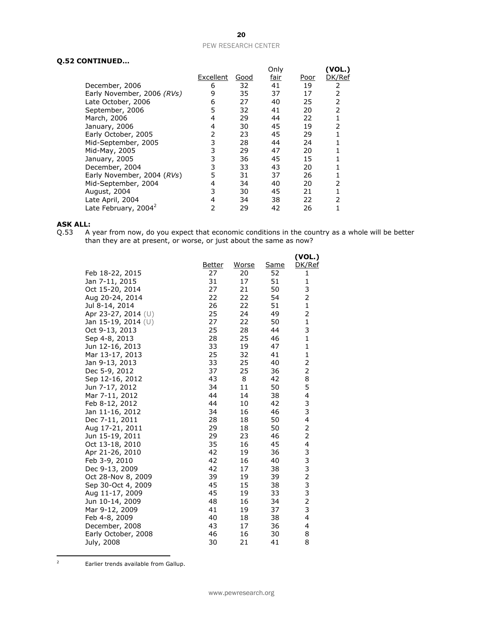#### **Q.52 CONTINUED…**

| ,,,,,,,,,,,,,,,                  |           |      |              |      |                 |
|----------------------------------|-----------|------|--------------|------|-----------------|
|                                  | Excellent | Good | Only<br>fair | Poor | YOL.)<br>DK/Ref |
| December, 2006                   | 6         | 32   | 41           | 19   | 2               |
| Early November, 2006 (RVs)       | 9         | 35   | 37           | 17   | 2               |
| Late October, 2006               | 6         | 27   | 40           | 25   | 2               |
| September, 2006                  | 5         | 32   | 41           | 20   | 2               |
| March, 2006                      | 4         | 29   | 44           | 22   |                 |
| January, 2006                    | 4         | 30   | 45           | 19   | 2               |
| Early October, 2005              | 2         | 23   | 45           | 29   |                 |
| Mid-September, 2005              | 3         | 28   | 44           | 24   |                 |
| Mid-May, 2005                    | 3         | 29   | 47           | 20   |                 |
| January, 2005                    | 3         | 36   | 45           | 15   |                 |
| December, 2004                   | 3         | 33   | 43           | 20   |                 |
| Early November, 2004 (RVs)       | 5         | 31   | 37           | 26   |                 |
| Mid-September, 2004              | 4         | 34   | 40           | 20   | 2               |
| August, 2004                     | 3         | 30   | 45           | 21   |                 |
| Late April, 2004                 | 4         | 34   | 38           | 22   | 2               |
| Late February, 2004 <sup>2</sup> | 2         | 29   | 42           | 26   |                 |
|                                  |           |      |              |      |                 |

# **ASK ALL:**<br>Q.53 A

Q.53 A year from now, do you expect that economic conditions in the country as a whole will be better than they are at present, or worse, or just about the same as now?

|                     | <u>Better</u> | <u>Worse</u> | <u>Same</u> | (VOL.)<br>DK/Ref |
|---------------------|---------------|--------------|-------------|------------------|
| Feb 18-22, 2015     | 27            | 20           | 52          | 1                |
| Jan 7-11, 2015      | 31            | 17           | 51          | 1                |
| Oct 15-20, 2014     | 27            | 21           | 50          | 3                |
| Aug 20-24, 2014     | 22            | 22           | 54          | 2                |
| Jul 8-14, 2014      | 26            | 22           | 51          | $\mathbf{1}$     |
| Apr 23-27, 2014 (U) | 25            | 24           | 49          | $\overline{2}$   |
| Jan 15-19, 2014 (U) | 27            | 22           | 50          | $\mathbf{1}$     |
| Oct 9-13, 2013      | 25            | 28           | 44          | 3                |
| Sep 4-8, 2013       | 28            | 25           | 46          | $\mathbf 1$      |
| Jun 12-16, 2013     | 33            | 19           | 47          | 1                |
| Mar 13-17, 2013     | 25            | 32           | 41          | $\mathbf{1}$     |
| Jan 9-13, 2013      | 33            | 25           | 40          | 2                |
| Dec 5-9, 2012       | 37            | 25           | 36          | 2                |
| Sep 12-16, 2012     | 43            | 8            | 42          | 8                |
| Jun 7-17, 2012      | 34            | 11           | 50          | 5                |
| Mar 7-11, 2012      | 44            | 14           | 38          | 4                |
| Feb 8-12, 2012      | 44            | 10           | 42          | 3                |
| Jan 11-16, 2012     | 34            | 16           | 46          | 3                |
| Dec 7-11, 2011      | 28            | 18           | 50          | 4                |
| Aug 17-21, 2011     | 29            | 18           | 50          | $\overline{2}$   |
| Jun 15-19, 2011     | 29            | 23           | 46          | $\overline{2}$   |
| Oct 13-18, 2010     | 35            | 16           | 45          | 4                |
| Apr 21-26, 2010     | 42            | 19           | 36          | 3                |
| Feb 3-9, 2010       | 42            | 16           | 40          |                  |
| Dec 9-13, 2009      | 42            | 17           | 38          | 332323           |
| Oct 28-Nov 8, 2009  | 39            | 19           | 39          |                  |
| Sep 30-Oct 4, 2009  | 45            | 15           | 38          |                  |
| Aug 11-17, 2009     | 45            | 19           | 33          |                  |
| Jun 10-14, 2009     | 48            | 16           | 34          |                  |
| Mar 9-12, 2009      | 41            | 19           | 37          |                  |
| Feb 4-8, 2009       | 40            | 18           | 38          | 4                |
| December, 2008      | 43<br>46      | 17           | 36          | 4                |
| Early October, 2008 |               | 16           | 30          | 8                |
| July, 2008          | 30            | 21           | 41          | 8                |

 $\overline{2}$ Earlier trends available from Gallup.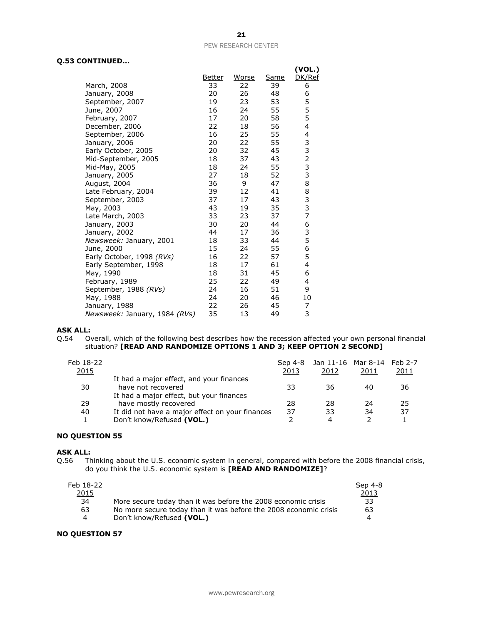#### **Q.53 CONTINUED...**

|                               |        |       |             | (VOL.)        |
|-------------------------------|--------|-------|-------------|---------------|
|                               | Better | Worse | <u>Same</u> | DK/Ref        |
| March, 2008                   | 33     | 22    | 39          | 6             |
| January, 2008                 | 20     | 26    | 48          | 6             |
| September, 2007               | 19     | 23    | 53          | 5             |
| June, 2007                    | 16     | 24    | 55          | 5             |
| February, 2007                | 17     | 20    | 58          | 5             |
| December, 2006                | 22     | 18    | 56          | 4             |
| September, 2006               | 16     | 25    | 55          | 4             |
| January, 2006                 | 20     | 22    | 55          | 3<br>3        |
| Early October, 2005           | 20     | 32    | 45          |               |
| Mid-September, 2005           | 18     | 37    | 43          | $\frac{2}{3}$ |
| Mid-May, 2005                 | 18     | 24    | 55          |               |
| January, 2005                 | 27     | 18    | 52          | 3             |
| August, 2004                  | 36     | 9     | 47          | 8             |
| Late February, 2004           | 39     | 12    | 41          | 8             |
| September, 2003               | 37     | 17    | 43          | 3             |
| May, 2003                     | 43     | 19    | 35          | 3             |
| Late March, 2003              | 33     | 23    | 37          | 7             |
| January, 2003                 | 30     | 20    | 44          | 6             |
| January, 2002                 | 44     | 17    | 36          | 3             |
| Newsweek: January, 2001       | 18     | 33    | 44          | 5             |
| June, 2000                    | 15     | 24    | 55          | 6             |
| Early October, 1998 (RVs)     | 16     | 22    | 57          | 5             |
| Early September, 1998         | 18     | 17    | 61          | 4             |
| May, 1990                     | 18     | 31    | 45          | 6             |
| February, 1989                | 25     | 22    | 49          | 4             |
| September, 1988 (RVs)         | 24     | 16    | 51          | 9             |
| May, 1988                     | 24     | 20    | 46          | 10            |
| January, 1988                 | 22     | 26    | 45          | 7             |
| Newsweek: January, 1984 (RVs) | 35     | 13    | 49          | 3             |

# **ASK ALL:**<br>Q.54 0

Overall, which of the following best describes how the recession affected your own personal financial situation? **[READ AND RANDOMIZE OPTIONS 1 AND 3; KEEP OPTION 2 SECOND]**

| Feb 18-22<br><u> 2015</u> |                                                                              | Sep 4-8<br>2013 | Jan 11-16 Mar 8-14 Feb 2-7<br>2012 | 2011 | 2011 |
|---------------------------|------------------------------------------------------------------------------|-----------------|------------------------------------|------|------|
| 30                        | It had a major effect, and your finances<br>have not recovered               | 33              | 36                                 | 40   | 36   |
| 29                        | It had a major effect, but your finances<br>have mostly recovered            | 28              | 28                                 | 24   | 25   |
| 40                        | It did not have a major effect on your finances<br>Don't know/Refused (VOL.) | 37              | 33<br>4                            | 34   | 37   |

#### **NO QUESTION 55**

#### **ASK ALL:**

Q.56 Thinking about the U.S. economic system in general, compared with before the 2008 financial crisis, do you think the U.S. economic system is **[READ AND RANDOMIZE]**?

| Feb 18-22      |                                                                  | Sep 4-8 |
|----------------|------------------------------------------------------------------|---------|
| 2015           |                                                                  | 2013    |
| 34             | More secure today than it was before the 2008 economic crisis    | 33      |
| 63             | No more secure today than it was before the 2008 economic crisis | 63      |
| $\overline{a}$ | Don't know/Refused (VOL.)                                        | 4       |

#### **NO QUESTION 57**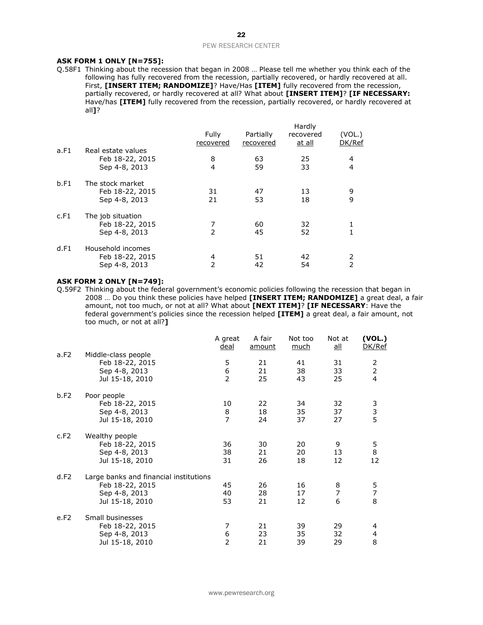#### PEW RESEARCH CENTER

#### **ASK FORM 1 ONLY [N=755]:**

Q.58F1 Thinking about the recession that began in 2008 … Please tell me whether you think each of the following has fully recovered from the recession, partially recovered, or hardly recovered at all. First, **[INSERT ITEM; RANDOMIZE]**? Have/Has **[ITEM]** fully recovered from the recession, partially recovered, or hardly recovered at all? What about **[INSERT ITEM]**? **[IF NECESSARY:**  Have/has **[ITEM]** fully recovered from the recession, partially recovered, or hardly recovered at all**]**?

|      |                                                        | Fully<br>recovered | Partially<br>recovered | Hardly<br>recovered<br><u>at all</u> | (VOL.)<br>DK/Ref    |
|------|--------------------------------------------------------|--------------------|------------------------|--------------------------------------|---------------------|
| a.F1 | Real estate values<br>Feb 18-22, 2015<br>Sep 4-8, 2013 | 8<br>4             | 63<br>59               | 25<br>33                             | 4<br>$\overline{4}$ |
| b.F1 | The stock market<br>Feb 18-22, 2015<br>Sep 4-8, 2013   | 31<br>21           | 47<br>53               | 13<br>18                             | 9<br>9              |
| c.F1 | The job situation<br>Feb 18-22, 2015<br>Sep 4-8, 2013  | 7<br>2             | 60<br>45               | 32<br>52                             |                     |
| d.F1 | Household incomes<br>Feb 18-22, 2015<br>Sep 4-8, 2013  | 4<br>2             | 51<br>42               | 42<br>54                             | 2<br>$\overline{2}$ |

#### **ASK FORM 2 ONLY [N=749]:**

Q.59F2 Thinking about the federal government's economic policies following the recession that began in 2008 … Do you think these policies have helped **[INSERT ITEM; RANDOMIZE]** a great deal, a fair amount, not too much, or not at all? What about **[NEXT ITEM]**? **[IF NECESSARY**: Have the federal government's policies since the recession helped **[ITEM]** a great deal, a fair amount, not too much, or not at all?**]**

|      |                                                                                               | A great<br><u>deal</u>                      | A fair<br>amount | Not too<br>much | Not at<br>all            | (VOL.)<br>DK/Ref                      |
|------|-----------------------------------------------------------------------------------------------|---------------------------------------------|------------------|-----------------|--------------------------|---------------------------------------|
| a.F2 | Middle-class people<br>Feb 18-22, 2015<br>Sep 4-8, 2013<br>Jul 15-18, 2010                    | 5<br>6<br>2                                 | 21<br>21<br>25   | 41<br>38<br>43  | 31<br>33<br>25           | 2<br>$\overline{2}$<br>$\overline{4}$ |
| b.F2 | Poor people<br>Feb 18-22, 2015<br>Sep 4-8, 2013<br>Jul 15-18, 2010                            | 10<br>$\begin{array}{c} 8 \\ 7 \end{array}$ | 22<br>18<br>24   | 34<br>35<br>37  | 32<br>37<br>27           | 3<br>3<br>5                           |
| c.F2 | Wealthy people<br>Feb 18-22, 2015<br>Sep 4-8, 2013<br>Jul 15-18, 2010                         | 36<br>38<br>31                              | 30<br>21<br>26   | 20<br>20<br>18  | 9<br>13<br>12            | 5<br>8<br>12                          |
| d.F2 | Large banks and financial institutions<br>Feb 18-22, 2015<br>Sep 4-8, 2013<br>Jul 15-18, 2010 | 45<br>40<br>53                              | 26<br>28<br>21   | 16<br>17<br>12  | 8<br>$\overline{7}$<br>6 | 5<br>$\overline{7}$<br>8              |
| e.F2 | Small businesses<br>Feb 18-22, 2015<br>Sep 4-8, 2013<br>Jul 15-18, 2010                       | 7<br>6<br>$\overline{2}$                    | 21<br>23<br>21   | 39<br>35<br>39  | 29<br>32<br>29           | 4<br>4<br>8                           |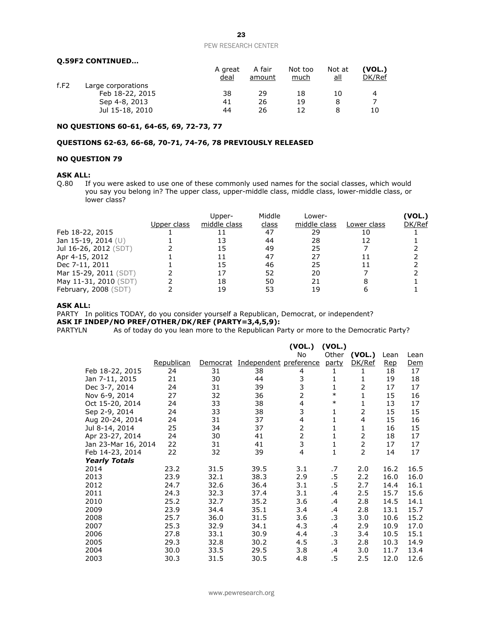#### **Q.59F2 CONTINUED…**

|      |                    | A great<br>deal | A fair<br>amount | Not too<br>much | Not at<br>all | (VOL.)<br>DK/Ref |
|------|--------------------|-----------------|------------------|-----------------|---------------|------------------|
| f.F2 | Large corporations |                 |                  |                 |               |                  |
|      | Feb 18-22, 2015    | 38              | 29               | 18              | 10            | 4                |
|      | Sep 4-8, 2013      | 41              | 26               | 19              |               |                  |
|      | Jul 15-18, 2010    | 44              | 26               |                 |               | 10               |

#### **NO QUESTIONS 60-61, 64-65, 69, 72-73, 77**

#### **QUESTIONS 62-63, 66-68, 70-71, 74-76, 78 PREVIOUSLY RELEASED**

#### **NO QUESTION 79**

#### **ASK ALL:**

Q.80 If you were asked to use one of these commonly used names for the social classes, which would you say you belong in? The upper class, upper-middle class, middle class, lower-middle class, or lower class?

|                       | Upper class | Upper-<br>middle class | Middle<br>class | Lower-<br>middle class | Lower class | (VOL.)<br>DK/Ref |
|-----------------------|-------------|------------------------|-----------------|------------------------|-------------|------------------|
| Feb 18-22, 2015       |             |                        | 47              | 29                     |             |                  |
| Jan 15-19, 2014 (U)   |             |                        | 44              | 28                     |             |                  |
| Jul 16-26, 2012 (SDT) |             |                        | 49              | 25                     |             |                  |
| Apr 4-15, 2012        |             |                        | 47              | 27                     |             |                  |
| Dec 7-11, 2011        |             |                        | 46              | 25                     |             |                  |
| Mar 15-29, 2011 (SDT) |             |                        | 52              | 20                     |             |                  |
| May 11-31, 2010 (SDT) |             | 18                     | 50              | 21                     |             |                  |
| February, 2008 (SDT)  |             | 19                     | 53              | 19                     |             |                  |

#### **ASK ALL:**

PARTY In politics TODAY, do you consider yourself a Republican, Democrat, or independent?

**ASK IF INDEP/NO PREF/OTHER/DK/REF (PARTY=3,4,5,9):**<br>PARTYLN As of today do you lean more to the Republican Pa As of today do you lean more to the Republican Party or more to the Democratic Party?

|                      |            |          |                        | (VOL.)         | (VOL.) |                |            |      |
|----------------------|------------|----------|------------------------|----------------|--------|----------------|------------|------|
|                      |            |          |                        | No             | Other  | (VOL.)         | Lean       | Lean |
|                      | Republican | Democrat | Independent preference |                | party  | DK/Ref         | <u>Rep</u> | Dem  |
| Feb 18-22, 2015      | 24         | 31       | 38                     | 4              | 1      | 1              | 18         | 17   |
| Jan 7-11, 2015       | 21         | 30       | 44                     | 3              | 1      | 1              | 19         | 18   |
| Dec 3-7, 2014        | 24         | 31       | 39                     | 3              | 1      | 2              | 17         | 17   |
| Nov 6-9, 2014        | 27         | 32       | 36                     | $\overline{2}$ | $\ast$ | 1              | 15         | 16   |
| Oct 15-20, 2014      | 24         | 33       | 38                     | 4              | $\ast$ | 1              | 13         | 17   |
| Sep 2-9, 2014        | 24         | 33       | 38                     | 3              | 1      | 2              | 15         | 15   |
| Aug 20-24, 2014      | 24         | 31       | 37                     | 4              | 1      | $\overline{4}$ | 15         | 16   |
| Jul 8-14, 2014       | 25         | 34       | 37                     | 2              | 1      | 1              | 16         | 15   |
| Apr 23-27, 2014      | 24         | 30       | 41                     | $\overline{2}$ | 1      | 2              | 18         | 17   |
| Jan 23-Mar 16, 2014  | 22         | 31       | 41                     | 3              | 1      | 2              | 17         | 17   |
| Feb 14-23, 2014      | 22         | 32       | 39                     | 4              | 1      | $\overline{2}$ | 14         | 17   |
| <b>Yearly Totals</b> |            |          |                        |                |        |                |            |      |
| 2014                 | 23.2       | 31.5     | 39.5                   | 3.1            | .7     | 2.0            | 16.2       | 16.5 |
| 2013                 | 23.9       | 32.1     | 38.3                   | 2.9            | .5     | 2.2            | 16.0       | 16.0 |
| 2012                 | 24.7       | 32.6     | 36.4                   | 3.1            | .5     | 2.7            | 14.4       | 16.1 |
| 2011                 | 24.3       | 32.3     | 37.4                   | 3.1            | .4     | 2.5            | 15.7       | 15.6 |
| 2010                 | 25.2       | 32.7     | 35.2                   | 3.6            | .4     | 2.8            | 14.5       | 14.1 |
| 2009                 | 23.9       | 34.4     | 35.1                   | 3.4            | .4     | 2.8            | 13.1       | 15.7 |
| 2008                 | 25.7       | 36.0     | 31.5                   | 3.6            | .3     | 3.0            | 10.6       | 15.2 |
| 2007                 | 25.3       | 32.9     | 34.1                   | 4.3            | .4     | 2.9            | 10.9       | 17.0 |
| 2006                 | 27.8       | 33.1     | 30.9                   | 4.4            | .3     | 3.4            | 10.5       | 15.1 |
| 2005                 | 29.3       | 32.8     | 30.2                   | 4.5            | .3     | 2.8            | 10.3       | 14.9 |
| 2004                 | 30.0       | 33.5     | 29.5                   | 3.8            | .4     | 3.0            | 11.7       | 13.4 |
| 2003                 | 30.3       | 31.5     | 30.5                   | 4.8            | .5     | 2.5            | 12.0       | 12.6 |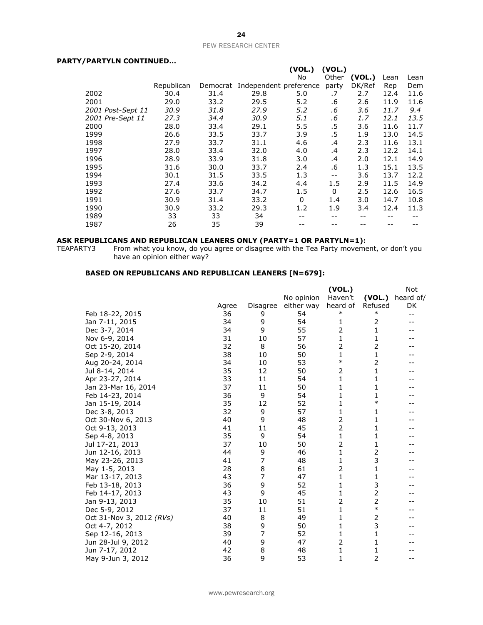#### PEW RESEARCH CENTER

#### **PARTY/PARTYLN CONTINUED…**

| , FARTI LIV CONTINUED |            |          |                        |          |          |        |            |      |
|-----------------------|------------|----------|------------------------|----------|----------|--------|------------|------|
|                       |            |          |                        | (VOL.)   | (VOL.)   |        |            |      |
|                       |            |          |                        | No       | Other    | (VOL.) | Lean       | Lean |
|                       | Republican | Democrat | Independent preference |          | party    | DK/Ref | <u>Rep</u> | Dem  |
| 2002                  | 30.4       | 31.4     | 29.8                   | 5.0      | .7       | 2.7    | 12.4       | 11.6 |
| 2001                  | 29.0       | 33.2     | 29.5                   | 5.2      | .6       | 2.6    | 11.9       | 11.6 |
| 2001 Post-Sept 11     | 30.9       | 31.8     | 27.9                   | 5.2      | .6       | 3.6    | 11.7       | 9.4  |
| 2001 Pre-Sept 11      | 27.3       | 34.4     | 30.9                   | 5.1      | .6       | 1.7    | 12.1       | 13.5 |
| 2000                  | 28.0       | 33.4     | 29.1                   | 5.5      | $.5\,$   | 3.6    | 11.6       | 11.7 |
| 1999                  | 26.6       | 33.5     | 33.7                   | 3.9      | .5       | 1.9    | 13.0       | 14.5 |
| 1998                  | 27.9       | 33.7     | 31.1                   | 4.6      | .4       | 2.3    | 11.6       | 13.1 |
| 1997                  | 28.0       | 33.4     | 32.0                   | 4.0      | .4       | 2.3    | 12.2       | 14.1 |
| 1996                  | 28.9       | 33.9     | 31.8                   | 3.0      | .4       | 2.0    | 12.1       | 14.9 |
| 1995                  | 31.6       | 30.0     | 33.7                   | 2.4      | .6       | 1.3    | 15.1       | 13.5 |
| 1994                  | 30.1       | 31.5     | 33.5                   | 1.3      | $- -$    | 3.6    | 13.7       | 12.2 |
| 1993                  | 27.4       | 33.6     | 34.2                   | 4.4      | 1.5      | 2.9    | 11.5       | 14.9 |
| 1992                  | 27.6       | 33.7     | 34.7                   | 1.5      | $\Omega$ | 2.5    | 12.6       | 16.5 |
| 1991                  | 30.9       | 31.4     | 33.2                   | $\Omega$ | 1.4      | 3.0    | 14.7       | 10.8 |
| 1990                  | 30.9       | 33.2     | 29.3                   | 1.2      | 1.9      | 3.4    | 12.4       | 11.3 |
| 1989                  | 33         | 33       | 34                     |          |          |        |            |      |
| 1987                  | 26         | 35       | 39                     |          |          |        |            |      |

#### **ASK REPUBLICANS AND REPUBLICAN LEANERS ONLY (PARTY=1 OR PARTYLN=1):**

TEAPARTY3 From what you know, do you agree or disagree with the Tea Party movement, or don't you have an opinion either way?

#### **BASED ON REPUBLICANS AND REPUBLICAN LEANERS [N=679]:**

|                          |       |          |            | (VOL.)       |         | Not       |
|--------------------------|-------|----------|------------|--------------|---------|-----------|
|                          |       |          | No opinion | Haven't      | (VOL.)  | heard of/ |
|                          | Agree | Disagree | either way | heard of     | Refused | <u>DK</u> |
| Feb 18-22, 2015          | 36    | 9        | 54         | $\ast$       | $\ast$  | $-$       |
| Jan 7-11, 2015           | 34    | 9        | 54         | 1            | 2       |           |
| Dec 3-7, 2014            | 34    | 9        | 55         | 2            | 1       |           |
| Nov 6-9, 2014            | 31    | 10       | 57         | 1            | 1       |           |
| Oct 15-20, 2014          | 32    | 8        | 56         | 2            | 2       |           |
| Sep 2-9, 2014            | 38    | 10       | 50         | 1            | 1       |           |
| Aug 20-24, 2014          | 34    | 10       | 53         | $\ast$       | 2       |           |
| Jul 8-14, 2014           | 35    | 12       | 50         | 2            | 1       |           |
| Apr 23-27, 2014          | 33    | 11       | 54         | 1            | 1       |           |
| Jan 23-Mar 16, 2014      | 37    | 11       | 50         | 1            | 1       |           |
| Feb 14-23, 2014          | 36    | 9        | 54         | 1            | 1       |           |
| Jan 15-19, 2014          | 35    | 12       | 52         | 1            | $\ast$  |           |
| Dec 3-8, 2013            | 32    | 9        | 57         | 1            | 1       |           |
| Oct 30-Nov 6, 2013       | 40    | 9        | 48         | 2            | 1       |           |
| Oct 9-13, 2013           | 41    | 11       | 45         | 2            | 1       |           |
| Sep 4-8, 2013            | 35    | 9        | 54         | 1            | 1       |           |
| Jul 17-21, 2013          | 37    | 10       | 50         | 2            | 1       |           |
| Jun 12-16, 2013          | 44    | 9        | 46         | $\mathbf{1}$ | 2       |           |
| May 23-26, 2013          | 41    | 7        | 48         | 1            | 3       |           |
| May 1-5, 2013            | 28    | 8        | 61         | 2            | 1       |           |
| Mar 13-17, 2013          | 43    | 7        | 47         | 1            | 1       |           |
| Feb 13-18, 2013          | 36    | 9        | 52         | 1            | 3       |           |
| Feb 14-17, 2013          | 43    | 9        | 45         | 1            | 2       |           |
| Jan 9-13, 2013           | 35    | 10       | 51         | 2            | 2       |           |
| Dec 5-9, 2012            | 37    | 11       | 51         | 1            | $\ast$  |           |
| Oct 31-Nov 3, 2012 (RVs) | 40    | 8        | 49         | 1            | 2       |           |
| Oct 4-7, 2012            | 38    | 9        | 50         | 1            | 3       |           |
| Sep 12-16, 2013          | 39    | 7        | 52         | 1            | 1       |           |
| Jun 28-Jul 9, 2012       | 40    | 9        | 47         | 2            | 1       |           |
| Jun 7-17, 2012           | 42    | 8        | 48         | 1            | 1       |           |
| May 9-Jun 3, 2012        | 36    | 9        | 53         | 1            | 2       | $- -$     |